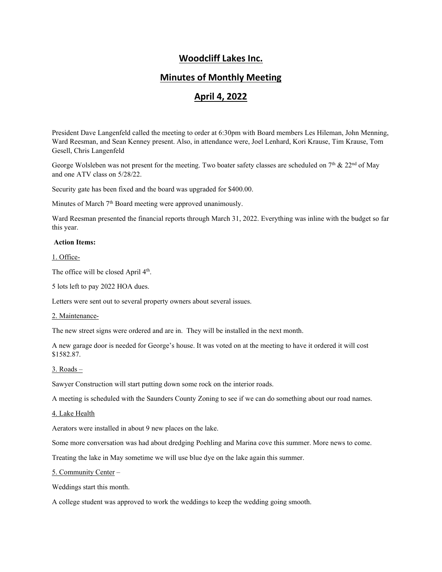## **Woodcliff Lakes Inc.**

## **Minutes of Monthly Meeting**

# **April 4, 2022**

President Dave Langenfeld called the meeting to order at 6:30pm with Board members Les Hileman, John Menning, Ward Reesman, and Sean Kenney present. Also, in attendance were, Joel Lenhard, Kori Krause, Tim Krause, Tom Gesell, Chris Langenfeld

George Wolsleben was not present for the meeting. Two boater safety classes are scheduled on 7<sup>th</sup> & 22<sup>nd</sup> of May and one ATV class on 5/28/22.

Security gate has been fixed and the board was upgraded for \$400.00.

Minutes of March  $7<sup>th</sup>$  Board meeting were approved unanimously.

Ward Reesman presented the financial reports through March 31, 2022. Everything was inline with the budget so far this year.

#### **Action Items:**

1. Office-

The office will be closed April  $4<sup>th</sup>$ .

5 lots left to pay 2022 HOA dues.

Letters were sent out to several property owners about several issues.

#### 2. Maintenance-

The new street signs were ordered and are in. They will be installed in the next month.

A new garage door is needed for George's house. It was voted on at the meeting to have it ordered it will cost \$1582.87.

#### 3. Roads –

Sawyer Construction will start putting down some rock on the interior roads.

A meeting is scheduled with the Saunders County Zoning to see if we can do something about our road names.

#### 4. Lake Health

Aerators were installed in about 9 new places on the lake.

Some more conversation was had about dredging Poehling and Marina cove this summer. More news to come.

Treating the lake in May sometime we will use blue dye on the lake again this summer.

#### 5. Community Center –

Weddings start this month.

A college student was approved to work the weddings to keep the wedding going smooth.